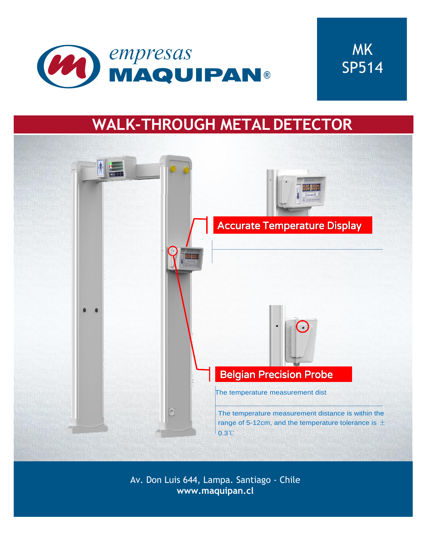



# **WALK-THROUGH METALDETECTOR**



Av. Don Luis 644, Lampa. Santiago - Chile **[www.maquipan.cl](http://www.maquipan.cl/)**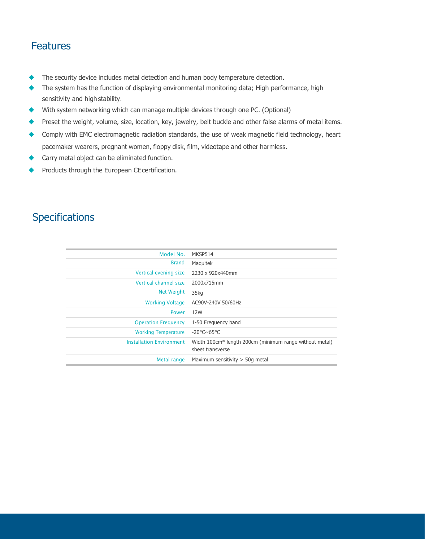### Features

- ◆ The security device includes metal detection and human body temperature detection.
- ◆ The system has the function of displaying environmental monitoring data; High performance, high sensitivity and high stability.
- ◆ With system networking which can manage multiple devices through one PC. (Optional)
- ◆ Preset the weight, volume, size, location, key, jewelry, belt buckle and other false alarms of metal items.
- ◆ Comply with EMC electromagnetic radiation standards, the use of weak magnetic field technology, heart pacemaker wearers, pregnant women, floppy disk, film, videotape and other harmless.
- ◆ Carry metal object can be eliminated function.
- Products through the European CE certification.

#### **Specifications**

| Model No.                       | MKSP514                                                                                 |
|---------------------------------|-----------------------------------------------------------------------------------------|
| <b>Brand</b>                    | Maguitek                                                                                |
| Vertical evening size           | 2230 x 920x440mm                                                                        |
| Vertical channel size           | 2000x715mm                                                                              |
| Net Weight                      | 35kg                                                                                    |
| <b>Working Voltage</b>          | AC90V-240V 50/60Hz                                                                      |
| <b>Power</b>                    | 12W                                                                                     |
| <b>Operation Frequency</b>      | 1-50 Frequency band                                                                     |
| <b>Working Temperature</b>      | $-20^{\circ}$ C $\sim$ 65°C                                                             |
| <b>Installation Environment</b> | Width 100cm <sup>*</sup> length 200cm (minimum range without metal)<br>sheet transverse |
| Metal range                     | Maximum sensitivity $>$ 50g metal                                                       |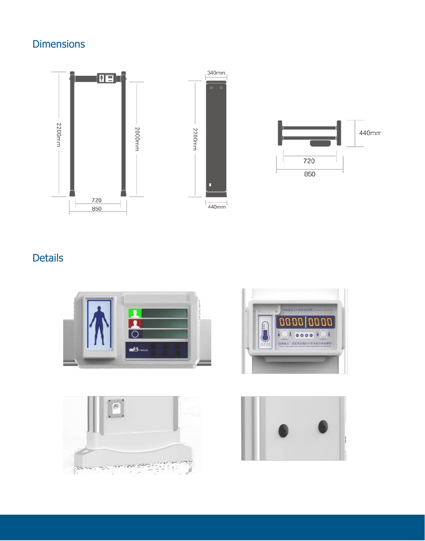## **Dimensions**





## Details







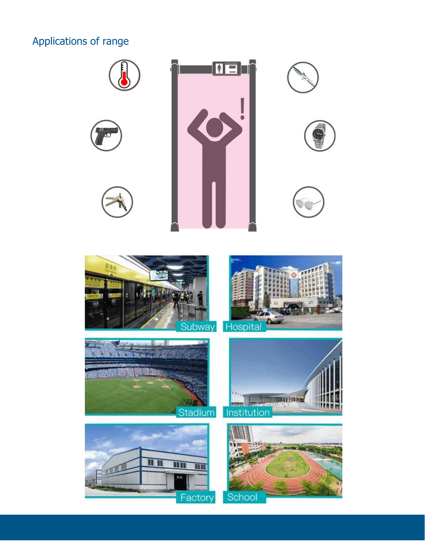## Applications of range